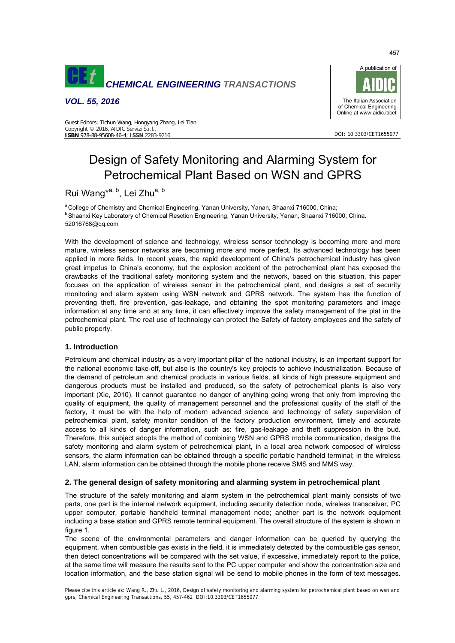

*VOL. 55, 2016* 



DOI: 10.3303/CET1655077

#### Guest Editors: Tichun Wang, Hongyang Zhang, Lei Tian Copyright © 2016, AIDIC Servizi S.r.l., **ISBN** 978-88-95608-46-4; **ISSN** 2283-9216

# Design of Safety Monitoring and Alarming System for Petrochemical Plant Based on WSN and GPRS

# Rui Wang<sup>\*a, b</sup>, Lei Zhu<sup>a, b</sup>

<sup>a</sup> College of Chemistry and Chemical Engineering, Yanan University, Yanan, Shaanxi 716000, China;<br><sup>b</sup> Shaanxi Key Laboratory of Chemical Resction Engineering, Yanan University, Yanan, Shaanxi 716000, China. 52016768@qq.com

With the development of science and technology, wireless sensor technology is becoming more and more mature, wireless sensor networks are becoming more and more perfect. Its advanced technology has been applied in more fields. In recent years, the rapid development of China's petrochemical industry has given great impetus to China's economy, but the explosion accident of the petrochemical plant has exposed the drawbacks of the traditional safety monitoring system and the network, based on this situation, this paper focuses on the application of wireless sensor in the petrochemical plant, and designs a set of security monitoring and alarm system using WSN network and GPRS network. The system has the function of preventing theft, fire prevention, gas-leakage, and obtaining the spot monitoring parameters and image information at any time and at any time, it can effectively improve the safety management of the plat in the petrochemical plant. The real use of technology can protect the Safety of factory employees and the safety of public property.

# **1. Introduction**

Petroleum and chemical industry as a very important pillar of the national industry, is an important support for the national economic take-off, but also is the country's key projects to achieve industrialization. Because of the demand of petroleum and chemical products in various fields, all kinds of high pressure equipment and dangerous products must be installed and produced, so the safety of petrochemical plants is also very important (Xie, 2010). It cannot guarantee no danger of anything going wrong that only from improving the quality of equipment, the quality of management personnel and the professional quality of the staff of the factory, it must be with the help of modern advanced science and technology of safety supervision of petrochemical plant, safety monitor condition of the factory production environment, timely and accurate access to all kinds of danger information, such as: fire, gas-leakage and theft suppression in the bud. Therefore, this subject adopts the method of combining WSN and GPRS mobile communication, designs the safety monitoring and alarm system of petrochemical plant, in a local area network composed of wireless sensors, the alarm information can be obtained through a specific portable handheld terminal; in the wireless LAN, alarm information can be obtained through the mobile phone receive SMS and MMS way.

# **2. The general design of safety monitoring and alarming system in petrochemical plant**

The structure of the safety monitoring and alarm system in the petrochemical plant mainly consists of two parts, one part is the internal network equipment, including security detection node, wireless transceiver, PC upper computer, portable handheld terminal management node; another part is the network equipment including a base station and GPRS remote terminal equipment. The overall structure of the system is shown in figure 1.

The scene of the environmental parameters and danger information can be queried by querying the equipment, when combustible gas exists in the field, it is immediately detected by the combustible gas sensor, then detect concentrations will be compared with the set value, if excessive, immediately report to the police, at the same time will measure the results sent to the PC upper computer and show the concentration size and location information, and the base station signal will be send to mobile phones in the form of text messages.

Please cite this article as: Wang R., Zhu L., 2016, Design of safety monitoring and alarming system for petrochemical plant based on wsn and gprs, Chemical Engineering Transactions, 55, 457-462 DOI:10.3303/CET1655077

457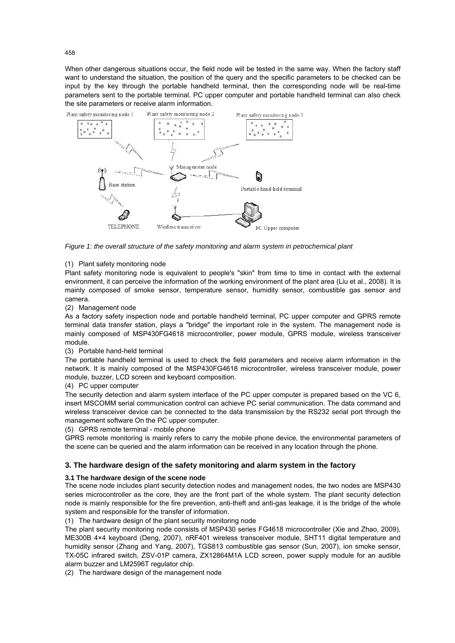When other dangerous situations occur, the field node will be tested in the same way. When the factory staff want to understand the situation, the position of the query and the specific parameters to be checked can be input by the key through the portable handheld terminal, then the corresponding node will be real-time parameters sent to the portable terminal. PC upper computer and portable handheld terminal can also check the site parameters or receive alarm information.



*Figure 1: the overall structure of the safety monitoring and alarm system in petrochemical plant* 

#### (1) Plant safety monitoring node

Plant safety monitoring node is equivalent to people's "skin" from time to time in contact with the external environment, it can perceive the information of the working environment of the plant area (Liu et al., 2008). It is mainly composed of smoke sensor, temperature sensor, humidity sensor, combustible gas sensor and camera.

#### (2) Management node

As a factory safety inspection node and portable handheld terminal, PC upper computer and GPRS remote terminal data transfer station, plays a "bridge" the important role in the system. The management node is mainly composed of MSP430FG4618 microcontroller, power module, GPRS module, wireless transceiver module.

#### (3) Portable hand-held terminal

The portable handheld terminal is used to check the field parameters and receive alarm information in the network. It is mainly composed of the MSP430FG4618 microcontroller, wireless transceiver module, power module, buzzer, LCD screen and keyboard composition.

#### (4) PC upper computer

The security detection and alarm system interface of the PC upper computer is prepared based on the VC 6, insert MSCOMM serial communication control can achieve PC serial communication. The data command and wireless transceiver device can be connected to the data transmission by the RS232 serial port through the management software On the PC upper computer.

#### (5) GPRS remote terminal - mobile phone

GPRS remote monitoring is mainly refers to carry the mobile phone device, the environmental parameters of the scene can be queried and the alarm information can be received in any location through the phone.

# **3. The hardware design of the safety monitoring and alarm system in the factory**

# **3.1 The hardware design of the scene node**

The scene node includes plant security detection nodes and management nodes, the two nodes are MSP430 series microcontroller as the core, they are the front part of the whole system. The plant security detection node is mainly responsible for the fire prevention, anti-theft and anti-gas leakage, it is the bridge of the whole system and responsible for the transfer of information.

(1) The hardware design of the plant security monitoring node

The plant security monitoring node consists of MSP430 series FG4618 microcontroller (Xie and Zhao, 2009), ME300B 4×4 keyboard (Deng, 2007), nRF401 wireless transceiver module, SHT11 digital temperature and humidity sensor (Zhang and Yang, 2007), TGS813 combustible gas sensor (Sun, 2007), ion smoke sensor, TX-05C infrared switch, ZSV-01P camera, ZX12864M1A LCD screen, power supply module for an audible alarm buzzer and LM2596T regulator chip.

(2) The hardware design of the management node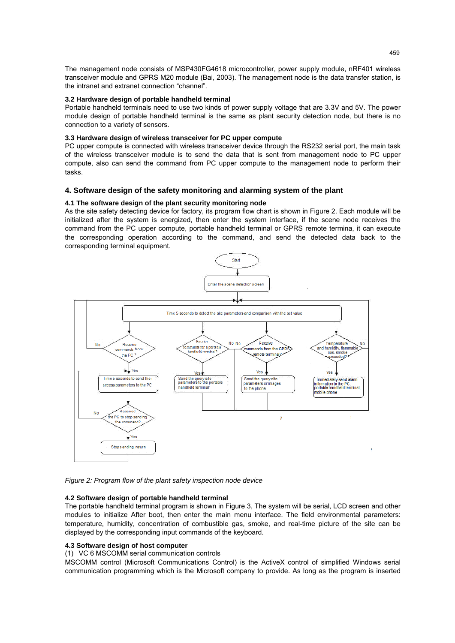The management node consists of MSP430FG4618 microcontroller, power supply module, nRF401 wireless transceiver module and GPRS M20 module (Bai, 2003). The management node is the data transfer station, is the intranet and extranet connection "channel".

#### **3.2 Hardware design of portable handheld terminal**

Portable handheld terminals need to use two kinds of power supply voltage that are 3.3V and 5V. The power module design of portable handheld terminal is the same as plant security detection node, but there is no connection to a variety of sensors.

#### **3.3 Hardware design of wireless transceiver for PC upper compute**

PC upper compute is connected with wireless transceiver device through the RS232 serial port, the main task of the wireless transceiver module is to send the data that is sent from management node to PC upper compute, also can send the command from PC upper compute to the management node to perform their tasks.

#### **4. Software design of the safety monitoring and alarming system of the plant**

#### **4.1 The software design of the plant security monitoring node**

As the site safety detecting device for factory, its program flow chart is shown in Figure 2. Each module will be initialized after the system is energized, then enter the system interface, if the scene node receives the command from the PC upper compute, portable handheld terminal or GPRS remote termina, it can execute the corresponding operation according to the command, and send the detected data back to the corresponding terminal equipment.



*Figure 2: Program flow of the plant safety inspection node device* 

#### **4.2 Software design of portable handheld terminal**

The portable handheld terminal program is shown in Figure 3, The system will be serial, LCD screen and other modules to initialize After boot, then enter the main menu interface. The field environmental parameters: temperature, humidity, concentration of combustible gas, smoke, and real-time picture of the site can be displayed by the corresponding input commands of the keyboard.

#### **4.3 Software design of host computer**

#### (1) VC 6 MSCOMM serial communication controls

MSCOMM control (Microsoft Communications Control) is the ActiveX control of simplified Windows serial communication programming which is the Microsoft company to provide. As long as the program is inserted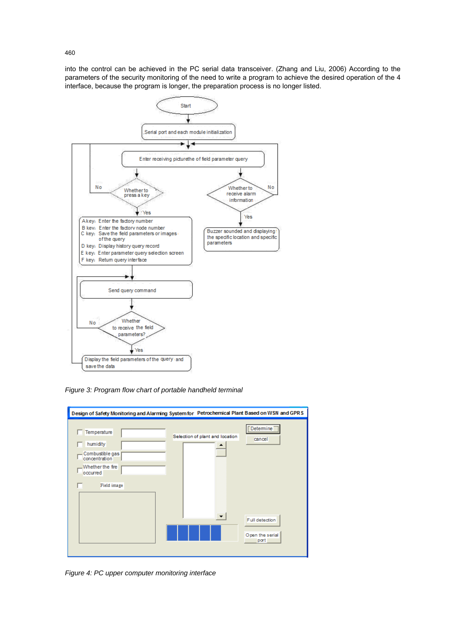into the control can be achieved in the PC serial data transceiver. (Zhang and Liu, 2006) According to the parameters of the security monitoring of the need to write a program to achieve the desired operation of the 4 interface, because the program is longer, the preparation process is no longer listed.



*Figure 3: Program flow chart of portable handheld terminal* 



*Figure 4: PC upper computer monitoring interface* 

460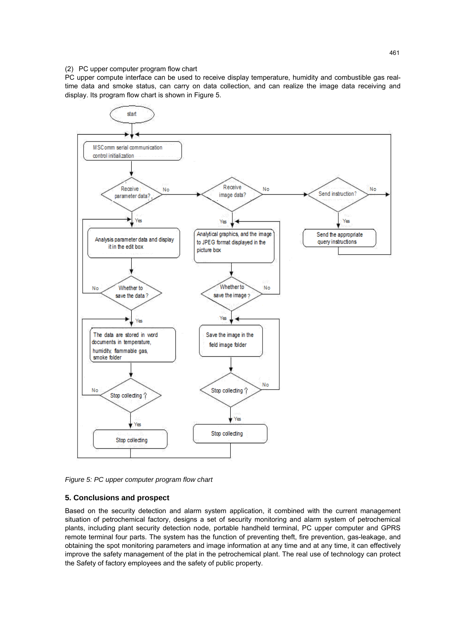#### (2) PC upper computer program flow chart

PC upper compute interface can be used to receive display temperature, humidity and combustible gas realtime data and smoke status, can carry on data collection, and can realize the image data receiving and display. Its program flow chart is shown in Figure 5.



*Figure 5: PC upper computer program flow chart* 

# **5. Conclusions and prospect**

Based on the security detection and alarm system application, it combined with the current management situation of petrochemical factory, designs a set of security monitoring and alarm system of petrochemical plants, including plant security detection node, portable handheld terminal, PC upper computer and GPRS remote terminal four parts. The system has the function of preventing theft, fire prevention, gas-leakage, and obtaining the spot monitoring parameters and image information at any time and at any time, it can effectively improve the safety management of the plat in the petrochemical plant. The real use of technology can protect the Safety of factory employees and the safety of public property.